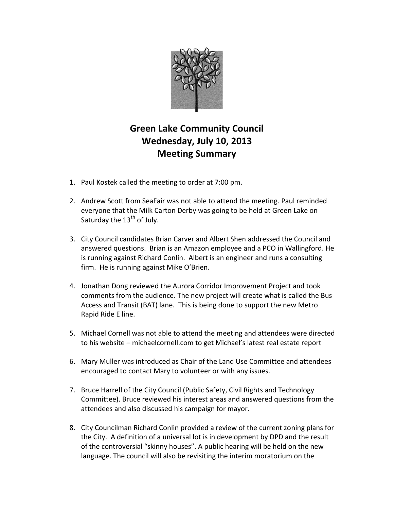

## **Green Lake Community Council Wednesday, July 10, 2013 Meeting Summary**

- 1. Paul Kostek called the meeting to order at 7:00 pm.
- 2. Andrew Scott from SeaFair was not able to attend the meeting. Paul reminded everyone that the Milk Carton Derby was going to be held at Green Lake on Saturday the  $13<sup>th</sup>$  of July.
- 3. City Council candidates Brian Carver and Albert Shen addressed the Council and answered questions. Brian is an Amazon employee and a PCO in Wallingford. He is running against Richard Conlin. Albert is an engineer and runs a consulting firm. He is running against Mike O'Brien.
- 4. Jonathan Dong reviewed the Aurora Corridor Improvement Project and took comments from the audience. The new project will create what is called the Bus Access and Transit (BAT) lane. This is being done to support the new Metro Rapid Ride E line.
- 5. Michael Cornell was not able to attend the meeting and attendees were directed to his website – michaelcornell.com to get Michael's latest real estate report
- 6. Mary Muller was introduced as Chair of the Land Use Committee and attendees encouraged to contact Mary to volunteer or with any issues.
- 7. Bruce Harrell of the City Council (Public Safety, Civil Rights and Technology Committee). Bruce reviewed his interest areas and answered questions from the attendees and also discussed his campaign for mayor.
- 8. City Councilman Richard Conlin provided a review of the current zoning plans for the City. A definition of a universal lot is in development by DPD and the result of the controversial "skinny houses". A public hearing will be held on the new language. The council will also be revisiting the interim moratorium on the